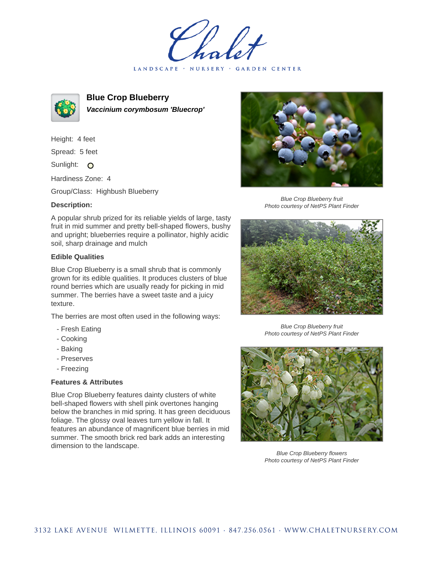holet LANDSCAPE · NURSERY · GARDEN CENTER



**Blue Crop Blueberry Vaccinium corymbosum 'Bluecrop'**

Height: 4 feet Spread: 5 feet

Sunlight: O

Hardiness Zone: 4

Group/Class: Highbush Blueberry

## **Description:**

A popular shrub prized for its reliable yields of large, tasty fruit in mid summer and pretty bell-shaped flowers, bushy and upright; blueberries require a pollinator, highly acidic soil, sharp drainage and mulch

## **Edible Qualities**

Blue Crop Blueberry is a small shrub that is commonly grown for its edible qualities. It produces clusters of blue round berries which are usually ready for picking in mid summer. The berries have a sweet taste and a juicy texture.

The berries are most often used in the following ways:

- Fresh Eating
- Cooking
- Baking
- Preserves
- Freezing

## **Features & Attributes**

Blue Crop Blueberry features dainty clusters of white bell-shaped flowers with shell pink overtones hanging below the branches in mid spring. It has green deciduous foliage. The glossy oval leaves turn yellow in fall. It features an abundance of magnificent blue berries in mid summer. The smooth brick red bark adds an interesting dimension to the landscape.



Blue Crop Blueberry fruit Photo courtesy of NetPS Plant Finder



Blue Crop Blueberry fruit Photo courtesy of NetPS Plant Finder



Blue Crop Blueberry flowers Photo courtesy of NetPS Plant Finder